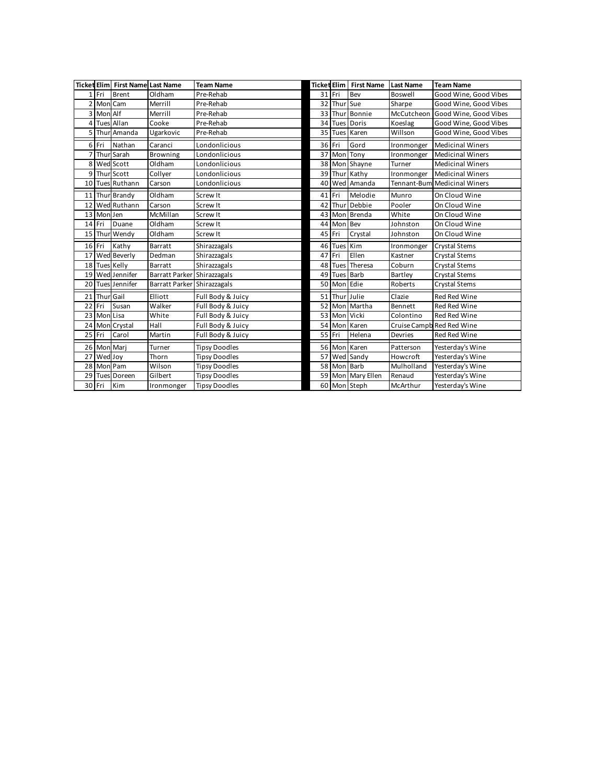|    |           | <b>Ticket Elim First Name Last Name</b> |                             | <b>Team Name</b>     |    |             | <b>Ticket Elim First Name</b> | <b>Last Name</b> | <b>Team Name</b>             |
|----|-----------|-----------------------------------------|-----------------------------|----------------------|----|-------------|-------------------------------|------------------|------------------------------|
|    | Fri       | Brent                                   | Oldham                      | Pre-Rehab            |    | 31 Fri      | Bev                           | Boswell          | Good Wine, Good Vibes        |
| 2  | Mon       | Cam                                     | Merrill                     | Pre-Rehab            |    | 32 Thui     | Sue                           | Sharpe           | Good Wine, Good Vibes        |
| 3  | Mon       | Alf                                     | Merrill                     | Pre-Rehab            | 33 | Thu         | Bonnie                        | McCutcheon       | Good Wine, Good Vibes        |
| 4  |           | <b>Tues Allan</b>                       | Cooke                       | Pre-Rehab            |    | 34 Tues     | Doris                         | Koeslag          | Good Wine, Good Vibes        |
| 5  | Thur      | Amanda                                  | Ugarkovic                   | Pre-Rehab            |    | 35 Tues     | Karen                         | Willson          | Good Wine, Good Vibes        |
| 6  | Fri       | Nathan                                  | Caranci                     | Londonlicious        |    | 36 Fri      | Gord                          | Ironmonger       | <b>Medicinal Winers</b>      |
| 7  |           | Thur Sarah                              | Browning                    | Londonlicious        | 37 | Mon         | Tony                          | Ironmonger       | <b>Medicinal Winers</b>      |
| 8  |           | Wed Scott                               | Oldham                      | Londonlicious        |    | 38 Mon      | Shayne                        | Turner           | <b>Medicinal Winers</b>      |
| 9  |           | Thur Scott                              | Collyer                     | Londonlicious        |    | 39 Thur     | Kathy                         | Ironmonger       | <b>Medicinal Winers</b>      |
| 10 |           | <b>Tues Ruthann</b>                     | Carson                      | Londonlicious        |    | 40 Wed      | Amanda                        |                  | Tennant-Bum Medicinal Winers |
| 11 |           | Thur Brandy                             | Oldham                      | Screw It             |    | 41 Fri      | Melodie                       | Munro            | On Cloud Wine                |
| 12 |           | Wed Ruthann                             | Carson                      | Screw It             | 42 | Thu         | Debbie                        | Pooler           | On Cloud Wine                |
| 13 | Mon Jen   |                                         | McMillan                    | Screw It             |    | 43 Mor      | Brenda                        | White            | On Cloud Wine                |
| 14 | Fri       | Duane                                   | Oldham                      | Screw It             |    | 44 Mon      | Bev                           | Johnston         | On Cloud Wine                |
| 15 |           | Thur Wendy                              | Oldham                      | Screw It             |    | 45 Fri      | Crystal                       | Johnston         | On Cloud Wine                |
|    | 16 Fri    | Kathy                                   | Barratt                     | Shirazzagals         |    | 46 Tues     | Kim                           | Ironmonger       | Crystal Stems                |
| 17 |           | Wed Beverly                             | Dedman                      | Shirazzagals         |    | 47 Fri      | Ellen                         | Kastner          | Crystal Stems                |
| 18 |           | <b>Tues Kelly</b>                       | Barratt                     | Shirazzagals         |    | 48 Tues     | Theresa                       | Coburn           | Crystal Stems                |
| 19 |           | Wed Jennifer                            | Barratt Parker Shirazzagals |                      |    | 49 Tues     | Barb                          | Bartley          | Crystal Stems                |
| 20 |           | <b>Tues Jennifer</b>                    | Barratt Parker              | Shirazzagals         | 50 | Mon         | Edie                          | Roberts          | Crystal Stems                |
| 21 | Thur Gail |                                         | Elliott                     | Full Body & Juicy    | 51 | Thu         | <b>Lulie</b>                  | Clazie           | Red Red Wine                 |
| 22 | Fri       | Susan                                   | Walker                      | Full Body & Juicy    |    | 52 Mon      | Martha                        | Bennett          | <b>Red Red Wine</b>          |
| 23 | Mon       | Lisa                                    | White                       | Full Body & Juicy    |    | 53 Mon      | Vicki                         | Colontino        | <b>Red Red Wine</b>          |
| 24 |           | Mon Crystal                             | Hall                        | Full Body & Juicy    |    | 54 Mon      | Karen                         |                  | Cruise Campb Red Red Wine    |
| 25 | Fri       | Carol                                   | Martin                      | Full Body & Juicy    |    | 55 Fri      | Helena                        | Devries          | <b>Red Red Wine</b>          |
| 26 | Mon       | Mari                                    | Turner                      | <b>Tipsy Doodles</b> |    | 56 Mor      | Karen                         | Patterson        | Yesterday's Wine             |
| 27 | Wed Joy   |                                         | Thorn                       | <b>Tipsy Doodles</b> | 57 |             | Wed Sandy                     | Howcroft         | Yesterday's Wine             |
| 28 | Mon       | Pam                                     | Wilson                      | <b>Tipsy Doodles</b> |    | 58 Mon Barb |                               | Mulholland       | Yesterday's Wine             |
| 29 | Tues      | Doreen                                  | Gilbert                     | <b>Tipsy Doodles</b> |    |             | 59 Mon Mary Ellen             | Renaud           | Yesterday's Wine             |
|    | 30 Fri    | Kim                                     | Ironmonger                  | <b>Tipsy Doodles</b> |    |             | 60 Mon Steph                  | McArthur         | Yesterday's Wine             |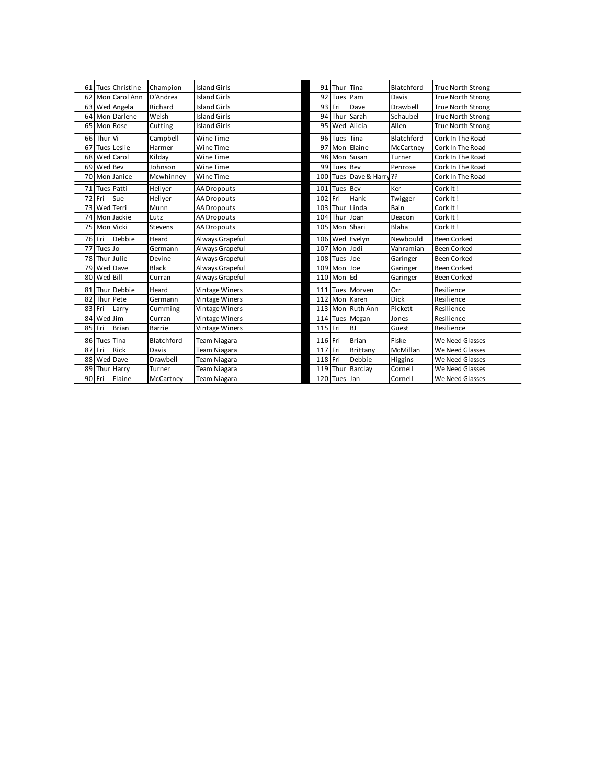| <b>Island Girls</b><br>Blatchford<br>Christine<br>Champion<br>91<br>Tina<br><b>True North Strong</b><br>61<br>Thu<br>Tues<br>62<br><b>Island Girls</b><br>92<br>Carol Ann<br>D'Andrea<br>Pam<br>Davis<br><b>True North Strong</b><br>Mon<br>Tues<br>63<br>Richard<br><b>Island Girls</b><br>93 Fri<br>Drawbell<br><b>True North Strong</b><br>Wed Angela<br>Dave<br>64<br>Darlene<br>Welsh<br>Island Girls<br>94<br>Sarah<br>Schaubel<br><b>True North Strong</b><br>Mon<br>Thu |
|---------------------------------------------------------------------------------------------------------------------------------------------------------------------------------------------------------------------------------------------------------------------------------------------------------------------------------------------------------------------------------------------------------------------------------------------------------------------------------|
|                                                                                                                                                                                                                                                                                                                                                                                                                                                                                 |
|                                                                                                                                                                                                                                                                                                                                                                                                                                                                                 |
|                                                                                                                                                                                                                                                                                                                                                                                                                                                                                 |
|                                                                                                                                                                                                                                                                                                                                                                                                                                                                                 |
| Rose<br>Alicia<br>65<br><b>Island Girls</b><br>95<br>Wed<br><b>True North Strong</b><br>Mon<br>Cutting<br>Allen                                                                                                                                                                                                                                                                                                                                                                 |
| 66<br>Vi<br>Wine Time<br>Tina<br>Blatchford<br>Cork In The Road<br>Campbell<br>96 Tues<br>Thur                                                                                                                                                                                                                                                                                                                                                                                  |
| Leslie<br>97<br>67<br>Wine Time<br>Elaine<br>Cork In The Road<br>McCartney<br>Harmer<br>Mor<br>Tues                                                                                                                                                                                                                                                                                                                                                                             |
| 68<br>Carol<br>Wine Time<br>98<br>Wed<br>Kilday<br>Mon<br>Susan<br>Cork In The Road<br>Turner                                                                                                                                                                                                                                                                                                                                                                                   |
|                                                                                                                                                                                                                                                                                                                                                                                                                                                                                 |
| 69<br>Wed Bev<br>Wine Time<br>99<br>Penrose<br>Cork In The Road<br>Johnson<br><b>Bev</b><br>Tues                                                                                                                                                                                                                                                                                                                                                                                |
| Dave & Harr<br>55<br>70<br>Cork In The Road<br>Mon Janice<br>Mcwhinney<br>Wine Time<br>100<br>Tues                                                                                                                                                                                                                                                                                                                                                                              |
| 71<br>Hellyer<br>101<br>Ker<br>Cork It!<br><b>Tues Patti</b><br>Bev<br><b>AA Dropouts</b><br>Tues                                                                                                                                                                                                                                                                                                                                                                               |
| 72<br>Fri<br>102 Fri<br>Cork It!<br>Sue<br>AA Dropouts<br>Hank<br>Hellyer<br>Twigger                                                                                                                                                                                                                                                                                                                                                                                            |
| 73<br>Terri<br>Wed<br>103<br>Thu<br>Linda<br>Cork It!<br>Munn<br>AA Dropouts<br>Bain                                                                                                                                                                                                                                                                                                                                                                                            |
| 74<br>Jackie<br>104 Thu<br>Deacon<br>Cork It!<br>Mon<br>Lutz<br>AA Dropouts<br>Joan                                                                                                                                                                                                                                                                                                                                                                                             |
| 75<br>Mon Vicki<br>105 Mon<br>Shari<br>Blaha<br>Cork It!<br>AA Dropouts<br>Stevens                                                                                                                                                                                                                                                                                                                                                                                              |
| 76<br>Debbie<br>Always Grapeful<br><b>Been Corked</b><br>Fri<br>106 Wed Evelyn<br>Newbould<br>Heard                                                                                                                                                                                                                                                                                                                                                                             |
| 77<br>Tues Jo<br>Always Grapeful<br>107<br>Mon<br>Jodi<br><b>Been Corked</b><br>Vahramian<br>Germann                                                                                                                                                                                                                                                                                                                                                                            |
| Thur Julie<br>78<br>Always Grapeful<br>108 Tues Joe<br>Devine<br><b>Been Corked</b><br>Garinger                                                                                                                                                                                                                                                                                                                                                                                 |
| 79<br>Wed<br>Dave<br>Black<br>Always Grapeful<br>Garinger<br>109<br>Mor<br><b>Been Corked</b><br>Joe                                                                                                                                                                                                                                                                                                                                                                            |
| 80<br>Wed Bill<br>l Ed<br>Always Grapeful<br>110<br>Mon<br>Garinger<br><b>Been Corked</b><br>Curran                                                                                                                                                                                                                                                                                                                                                                             |
| 81<br>Debbie<br>111<br>Resilience<br>Vintage Winers<br>Morven<br>Orr<br>Heard<br>Tues<br>Thur                                                                                                                                                                                                                                                                                                                                                                                   |
| 82<br>Pete<br>112 Mon<br>Dick<br>Resilience<br>Vintage Winers<br>Karen<br>Thur<br>Germann                                                                                                                                                                                                                                                                                                                                                                                       |
| 83<br>Ruth Ann<br>Fri<br>Vintage Winers<br>Mor<br>Pickett<br>Resilience<br>Cumming<br>113<br>Larry                                                                                                                                                                                                                                                                                                                                                                              |
| 84<br>Resilience<br>Jim<br>Vintage Winers<br>Wed<br>114 Tues Megan<br>Curran<br>Jones                                                                                                                                                                                                                                                                                                                                                                                           |
| 85<br>115 Fri<br><b>BJ</b><br>Fri<br>Brian<br>Resilience<br>Barrie<br>Vintage Winers<br>Guest                                                                                                                                                                                                                                                                                                                                                                                   |
| 116 Fri<br>86<br>Tina<br>Blatchford<br><b>Brian</b><br>Fiske<br>We Need Glasses<br>Team Niagara<br>Tues                                                                                                                                                                                                                                                                                                                                                                         |
| 87<br>Rick<br>Fri<br>Fri<br>117<br>Brittany<br>McMillan<br>Davis<br>Team Niagara<br>We Need Glasses                                                                                                                                                                                                                                                                                                                                                                             |
| 88<br>118 Fri<br>Debbie<br>Drawbell<br>We Need Glasses<br>Wed<br>Dave<br>Team Niagara<br>Higgins                                                                                                                                                                                                                                                                                                                                                                                |
| 89<br>119 Thu<br>Barclay<br>Cornell<br>We Need Glasses<br>Harry<br>Team Niagara<br>Thu<br>Turner<br>90<br>Elaine                                                                                                                                                                                                                                                                                                                                                                |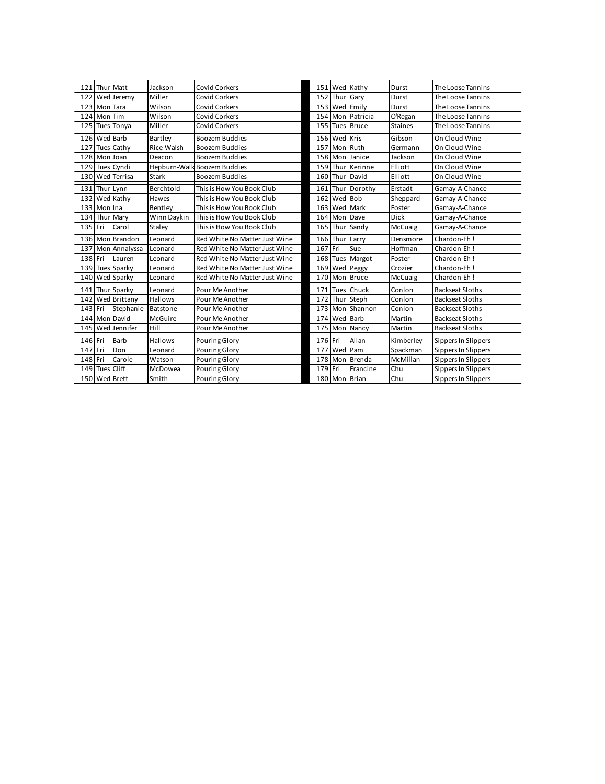| Matt<br>Jackson<br><b>Covid Corkers</b><br>151 Wed Kathy<br>121<br>Thur<br>Durst                                 |                        |
|------------------------------------------------------------------------------------------------------------------|------------------------|
|                                                                                                                  | The Loose Tannins      |
| 122<br>Wed Jeremy<br>Miller<br>152 Thui<br>Garv<br><b>Covid Corkers</b><br>Durst                                 | The Loose Tannins      |
| 123<br>Wilson<br>153 Wed Emily<br>Mon Tara<br>Covid Corkers<br>Durst                                             | The Loose Tannins      |
| 154 Mon<br>124<br>Mon Tim<br>Wilson<br>Patricia<br><b>Covid Corkers</b><br>O'Regan                               | The Loose Tannins      |
| 125<br><b>Tues Tonya</b><br>Miller<br>155 Tues Bruce<br><b>Covid Corkers</b><br>Staines                          | The Loose Tannins      |
| 126<br><b>Wed Barb</b><br>156 Wed<br>Kris<br>Gibson<br>Bartley<br><b>Boozem Buddies</b>                          | On Cloud Wine          |
| 127<br><b>Tues Cathy</b><br>157<br>Ruth<br>Rice-Walsh<br>Boozem Buddies<br>Mon<br>Germann                        | On Cloud Wine          |
| 158 Mon Janice<br>128<br>Mon Joan<br>Boozem Buddies<br>Jackson<br>Deacon                                         | On Cloud Wine          |
| <b>Tues Cyndi</b><br>Hepburn-Walk Boozem Buddies<br>Kerinne<br>129<br>159 Thur<br>Elliott                        | On Cloud Wine          |
|                                                                                                                  | On Cloud Wine          |
| 130<br><b>Wed Terrisa</b><br>Boozem Buddies<br>160 Thur<br>Elliott<br>Stark<br>David                             | Gamay-A-Chance         |
| 131<br>This is How You Book Club<br>161<br>Berchtold<br>Dorothy<br>Erstadt<br>. Thui<br>Thur Lynn                |                        |
| Bob<br>132<br>Wed Kathy<br>162 Wed<br>This is How You Book Club<br>Sheppard<br>Hawes                             | Gamay-A-Chance         |
| 133<br>Mon Ina<br>This is How You Book Club<br>163 Wed<br>Mark<br>Bentlev<br>Foster                              | Gamav-A-Chance         |
| 134<br>Thur Mary<br>Winn Daykin<br>This is How You Book Club<br>164 Mon<br><b>Dick</b><br>Dave                   | Gamay-A-Chance         |
| 135 Fri<br>Carol<br>Staley<br>This is How You Book Club<br>165 Thur Sandy<br>McCuaig                             | Gamay-A-Chance         |
| 136 Mon Brandon<br>Red White No Matter Just Wine<br>166 Thur Larry<br>Chardon-Fh I<br>Densmore<br>Leonard        |                        |
| 137<br>167 Fri<br>Mon Annalyssa<br>Red White No Matter Just Wine<br>Sue<br>Hoffman<br>Chardon-Eh!<br>Leonard     |                        |
| 138 Fri<br>168 Tues Margot<br>Chardon-Eh!<br>Lauren<br>Red White No Matter Just Wine<br>Foster<br>Leonard        |                        |
| <b>Tues Sparky</b><br>139<br>169 Wed Peggy<br>Red White No Matter Just Wine<br>Crozier<br>Chardon-Eh!<br>Leonard |                        |
| 170 Mon Bruce<br>140<br>Wed Sparky<br>Red White No Matter Just Wine<br>McCuaig<br>Chardon-Eh!<br>Leonard         |                        |
| 171<br><b>Tues Chuck</b><br>141<br>Thur Sparky<br>Pour Me Another<br>Conlon<br>Leonard                           | <b>Backseat Sloths</b> |
| 172 Thur Steph<br>142 Wed Brittany<br>Hallows<br>Conlon<br>Pour Me Another                                       | <b>Backseat Sloths</b> |
| Stephanie<br>Shannon<br>143<br>Fri<br>173 Mon<br>Conlon<br>Batstone<br>Pour Me Another                           | <b>Backseat Sloths</b> |
| 144<br>David<br>McGuire<br>174 Wed Barb<br>Pour Me Another<br>Martin<br>Mon                                      | <b>Backseat Sloths</b> |
| 175 Mon<br>145 Wed Jennifer<br>Hill<br>Pour Me Another<br>Nancy<br>Martin                                        | <b>Backseat Sloths</b> |
| 176 Fri<br>Allan<br>146 Fri<br>Barb<br>Hallows<br>Kimberlev<br>Pouring Glory                                     | Sippers In Slippers    |
| Wed<br>147<br>Fri<br>Don<br><b>Pouring Glory</b><br>177<br>Pam<br>Spackman<br>Leonard                            | Sippers In Slippers    |
| 148<br>178 Mon<br>McMillan<br>Fri<br>Carole<br><b>Pouring Glory</b><br>Brenda<br>Watson                          | Sippers In Slippers    |
| Cliff<br>149 Tues<br><b>Pouring Glory</b><br>179 Fri<br>Chu<br>McDowea<br>Francine                               | Sippers In Slippers    |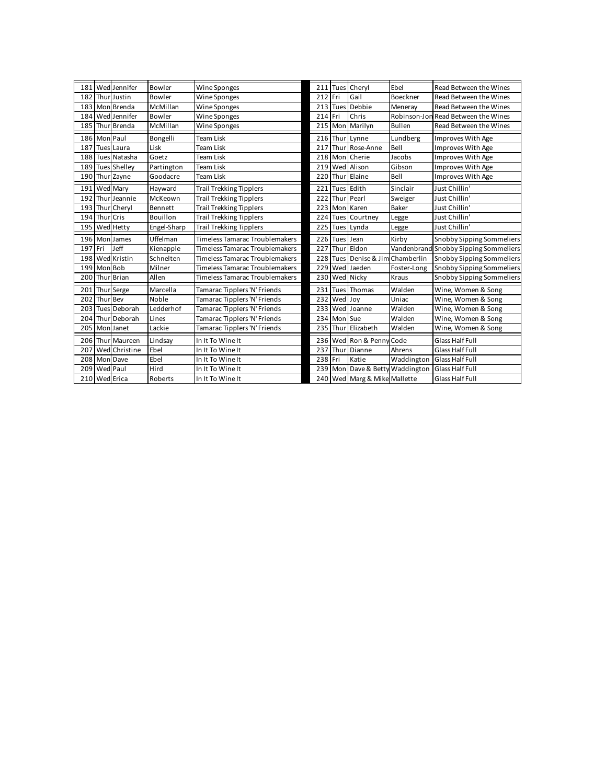| 181 |           | Wed Jennifer        | Bowler      | Wine Sponges                          |         | 211 Tues | Cheryl             | Fhel                    | Read Between the Wines                |
|-----|-----------|---------------------|-------------|---------------------------------------|---------|----------|--------------------|-------------------------|---------------------------------------|
| 182 | Thu       | Justin              | Bowler      | Wine Sponges                          | 212 Fri |          | Gail               | Boeckner                | Read Between the Wines                |
| 183 |           | Mon Brenda          | McMillan    | Wine Sponges                          |         | 213 Tues | Debbie             | Meneray                 | Read Between the Wines                |
| 184 |           | Wed Jennifer        | Bowler      | Wine Sponges                          | 214 Fri |          | Chris              |                         | Robinson-Jon Read Between the Wines   |
| 185 |           | Thur Brenda         | McMillan    | Wine Sponges                          |         | 215 Mor  | Marilyn            | <b>Bullen</b>           | Read Between the Wines                |
| 186 | Mon       | Paul                | Bongelli    | Team Lisk                             |         | 216 Thui | Lynne              | Lundberg                | Improves With Age                     |
| 187 | Tues      | Laura               | Lisk        | <b>Team Lisk</b>                      | 217     | Thu      | Rose-Anne          | <b>Bell</b>             | Improves With Age                     |
| 188 |           | <b>Tues Natasha</b> | Goetz       | <b>Team Lisk</b>                      |         |          | 218 Mon Cherie     | Jacobs                  | Improves With Age                     |
| 189 |           | <b>Tues Shelley</b> | Partington  | <b>Team Lisk</b>                      |         | 219 Wed  | Alison             | Gibson                  | Improves With Age                     |
| 190 |           | Thur Zayne          | Goodacre    | <b>Team Lisk</b>                      | 220     | Thu      | Elaine             | Bell                    | Improves With Age                     |
| 191 |           | Wed Mary            | Havward     | <b>Trail Trekking Tipplers</b>        | 221     | Tues     | Edith              | Sinclair                | Just Chillin'                         |
| 192 |           | Thur Jeannie        | McKeown     | <b>Trail Trekking Tipplers</b>        | 222     | Thu      | Pearl              | Sweiger                 | Just Chillin'                         |
| 193 |           | Thur Cheryl         | Bennett     | <b>Trail Trekking Tipplers</b>        |         | 223 Mon  | Karen              | Baker                   | Just Chillin'                         |
|     | Thur Cris |                     | Bouillon    | <b>Trail Trekking Tipplers</b>        |         |          | 224 Tues Courtney  | Legge                   | Just Chillin'                         |
| 194 |           |                     |             |                                       |         |          |                    |                         |                                       |
| 195 | Wed       | Hetty               | Engel-Sharp | <b>Trail Trekking Tipplers</b>        | 225     | Tues     | Lvnda              | Legge                   | Just Chillin'                         |
| 196 | Mon       | James               | Uffelman    | Timeless Tamarac Troublemakers        |         | 226 Tues | Jean               | Kirby                   | Snobby Sipping Sommeliers             |
| 197 | Fri       | Jeff                | Kienapple   | <b>Timeless Tamarac Troublemakers</b> | 227     | Thu      | Eldon              |                         | Vandenbrand Snobby Sipping Sommeliers |
| 198 | Wed       | Kristin             | Schnelten   | <b>Timeless Tamarac Troublemakers</b> |         | 228 Tues | Denise & Jim       | Chamberlin              | Snobby Sipping Sommeliers             |
| 199 | Mon       | Bob                 | Milner      | <b>Timeless Tamarac Troublemakers</b> | 229     | Wed      | Jaeden             | Foster-Long             | Snobby Sipping Sommeliers             |
| 200 | Thur      | <b>Brian</b>        | Allen       | Timeless Tamarac Troublemakers        | 230     |          | Wed Nicky          | Kraus                   | <b>Snobby Sipping Sommeliers</b>      |
| 201 |           | Thur Serge          | Marcella    | Tamarac Tipplers 'N' Friends          | 231     | Tues     | Thomas             | Walden                  | Wine, Women & Song                    |
| 202 | Thur      | <b>Bev</b>          | Noble       | Tamarac Tipplers 'N' Friends          | 232     | Wed Joy  |                    | Uniac                   | Wine, Women & Song                    |
| 203 | Tues      | Deborah             | Ledderhof   | Tamarac Tipplers 'N' Friends          | 233     | Wed      | Joanne             | Walden                  | Wine, Women & Song                    |
| 204 | Thur      | Deborah             | Lines       | Tamarac Tipplers 'N' Friends          |         | 234 Mon  | <b>Sue</b>         | Walden                  | Wine, Women & Song                    |
| 205 |           | Mon Janet           | Lackie      | Tamarac Tipplers 'N' Friends          |         |          | 235 Thur Elizabeth | Walden                  | Wine, Women & Song                    |
| 206 |           | Thur Maureen        | Lindsay     | In It To Wine It                      |         | 236 Wed  | Ron & Penny Code   |                         | Glass Half Full                       |
| 207 | Wed       | Christine           | Fhel        | In It To Wine It                      | 237     | Thu      | Dianne             | Ahrens                  | Glass Half Full                       |
| 208 | Mon       | Dave                | Ebel        | In It To Wine It                      | 238 Fri |          | Katie              | Waddington              | <b>Glass Half Full</b>                |
| 209 |           | Wed Paul            | Hird        | In It To Wine It                      |         | 239 Mor  |                    | Dave & Betty Waddington | Glass Half Full                       |